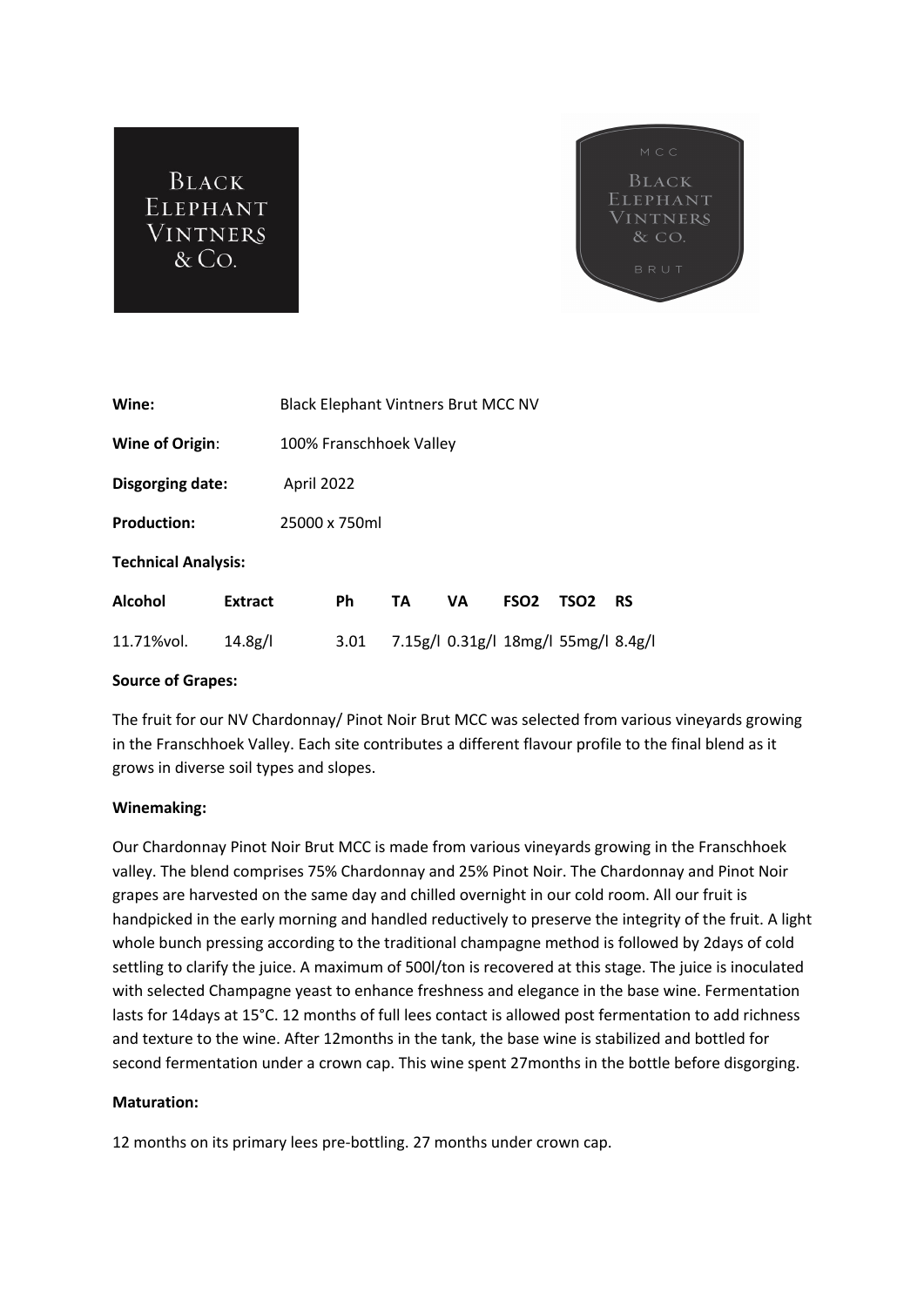



| Wine:                      |                | <b>Black Elephant Vintners Brut MCC NV</b> |           |    |                                      |                  |                  |           |
|----------------------------|----------------|--------------------------------------------|-----------|----|--------------------------------------|------------------|------------------|-----------|
| Wine of Origin:            |                | 100% Franschhoek Valley                    |           |    |                                      |                  |                  |           |
| Disgorging date:           |                | April 2022                                 |           |    |                                      |                  |                  |           |
| <b>Production:</b>         | 25000 x 750ml  |                                            |           |    |                                      |                  |                  |           |
| <b>Technical Analysis:</b> |                |                                            |           |    |                                      |                  |                  |           |
| <b>Alcohol</b>             | <b>Extract</b> |                                            | <b>Ph</b> | TA | VA                                   | FSO <sub>2</sub> | TSO <sub>2</sub> | <b>RS</b> |
| 11.71%vol.                 | 14.8g/l        |                                            | 3.01      |    | 7.15g/l 0.31g/l 18mg/l 55mg/l 8.4g/l |                  |                  |           |

## **Source of Grapes:**

The fruit for our NV Chardonnay/ Pinot Noir Brut MCC was selected from various vineyards growing in the Franschhoek Valley. Each site contributes a different flavour profile to the final blend as it grows in diverse soil types and slopes.

## **Winemaking:**

Our Chardonnay Pinot Noir Brut MCC is made from various vineyards growing in the Franschhoek valley. The blend comprises 75% Chardonnay and 25% Pinot Noir. The Chardonnay and Pinot Noir grapes are harvested on the same day and chilled overnight in our cold room. All our fruit is handpicked in the early morning and handled reductively to preserve the integrity of the fruit. A light whole bunch pressing according to the traditional champagne method is followed by 2days of cold settling to clarify the juice. A maximum of 500l/ton is recovered at this stage. The juice is inoculated with selected Champagne yeast to enhance freshness and elegance in the base wine. Fermentation lasts for 14days at 15°C. 12 months of full lees contact is allowed post fermentation to add richness and texture to the wine. After 12months in the tank, the base wine is stabilized and bottled for second fermentation under a crown cap. This wine spent 27months in the bottle before disgorging.

## **Maturation:**

12 months on its primary lees pre-bottling. 27 months under crown cap.